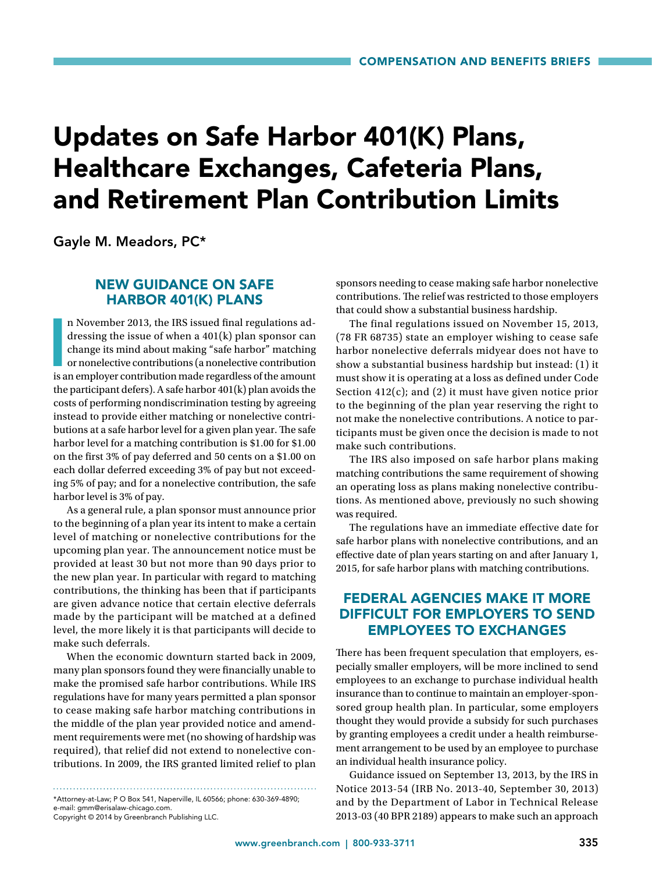# Updates on Safe Harbor 401(K) Plans, Healthcare Exchanges, Cafeteria Plans, and Retirement Plan Contribution Limits

Gayle M. Meadors, PC\*

## NEW GUIDANCE ON SAFE HARBOR 401(K) PLANS

n November 2013, the IRS issued final regulations addressing the issue of when a 401(k) plan sponsor can change its mind about making "safe harbor" matching or nonelective contributions (a nonelective contribution is an em n November 2013, the IRS issued final regulations addressing the issue of when a 401(k) plan sponsor can change its mind about making "safe harbor" matching or nonelective contributions (a nonelective contribution the participant defers). A safe harbor 401(k) plan avoids the costs of performing nondiscrimination testing by agreeing instead to provide either matching or nonelective contributions at a safe harbor level for a given plan year. The safe harbor level for a matching contribution is \$1.00 for \$1.00 on the first 3% of pay deferred and 50 cents on a \$1.00 on each dollar deferred exceeding 3% of pay but not exceeding 5% of pay; and for a nonelective contribution, the safe harbor level is 3% of pay.

As a general rule, a plan sponsor must announce prior to the beginning of a plan year its intent to make a certain level of matching or nonelective contributions for the upcoming plan year. The announcement notice must be provided at least 30 but not more than 90 days prior to the new plan year. In particular with regard to matching contributions, the thinking has been that if participants are given advance notice that certain elective deferrals made by the participant will be matched at a defined level, the more likely it is that participants will decide to make such deferrals.

When the economic downturn started back in 2009, many plan sponsors found they were financially unable to make the promised safe harbor contributions. While IRS regulations have for many years permitted a plan sponsor to cease making safe harbor matching contributions in the middle of the plan year provided notice and amendment requirements were met (no showing of hardship was required), that relief did not extend to nonelective contributions. In 2009, the IRS granted limited relief to plan

\*Attorney-at-Law; P O Box 541, Naperville, IL 60566; phone: 630-369-4890; e-mail: gmm@erisalaw-chicago.com.

Copyright © 2014 by Greenbranch Publishing LLC.

sponsors needing to cease making safe harbor nonelective contributions. The relief was restricted to those employers that could show a substantial business hardship.

The final regulations issued on November 15, 2013, (78 FR 68735) state an employer wishing to cease safe harbor nonelective deferrals midyear does not have to show a substantial business hardship but instead: (1) it must show it is operating at a loss as defined under Code Section 412(c); and (2) it must have given notice prior to the beginning of the plan year reserving the right to not make the nonelective contributions. A notice to participants must be given once the decision is made to not make such contributions.

The IRS also imposed on safe harbor plans making matching contributions the same requirement of showing an operating loss as plans making nonelective contributions. As mentioned above, previously no such showing was required.

The regulations have an immediate effective date for safe harbor plans with nonelective contributions, and an effective date of plan years starting on and after January 1, 2015, for safe harbor plans with matching contributions.

### FEDERAL AGENCIES MAKE IT MORE DIFFICULT FOR EMPLOYERS TO SEND EMPLOYEES TO EXCHANGES

There has been frequent speculation that employers, especially smaller employers, will be more inclined to send employees to an exchange to purchase individual health insurance than to continue to maintain an employer-sponsored group health plan. In particular, some employers thought they would provide a subsidy for such purchases by granting employees a credit under a health reimbursement arrangement to be used by an employee to purchase an individual health insurance policy.

Guidance issued on September 13, 2013, by the IRS in Notice 2013-54 (IRB No. 2013-40, September 30, 2013) and by the Department of Labor in Technical Release 2013-03 (40 BPR 2189) appears to make such an approach